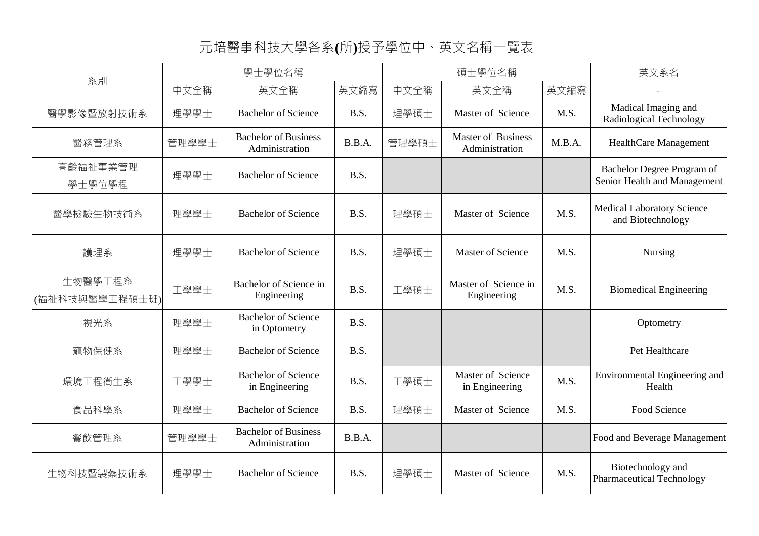## 元培醫事科技大學各系**(**所**)**授予學位中、英文名稱一覽表

| 系別                        | 學士學位名稱 |                                               |        | 碩士學位名稱 |                                             |        | 英文系名                                                       |
|---------------------------|--------|-----------------------------------------------|--------|--------|---------------------------------------------|--------|------------------------------------------------------------|
|                           | 中文全稱   | 英文全稱                                          | 英文縮寫   | 中文全稱   | 英文全稱                                        | 英文縮寫   |                                                            |
| 醫學影像暨放射技術系                | 理學學士   | <b>Bachelor of Science</b>                    | B.S.   | 理學碩士   | Master of Science                           | M.S.   | Madical Imaging and<br>Radiological Technology             |
| 醫務管理系                     | 管理學學士  | <b>Bachelor of Business</b><br>Administration | B.B.A. | 管理學碩士  | <b>Master of Business</b><br>Administration | M.B.A. | HealthCare Management                                      |
| 高齡福祉事業管理<br>學士學位學程        | 理學學士   | <b>Bachelor of Science</b>                    | B.S.   |        |                                             |        | Bachelor Degree Program of<br>Senior Health and Management |
| 醫學檢驗生物技術系                 | 理學學士   | <b>Bachelor of Science</b>                    | B.S.   | 理學碩士   | Master of Science                           | M.S.   | <b>Medical Laboratory Science</b><br>and Biotechnology     |
| 護理系                       | 理學學士   | <b>Bachelor of Science</b>                    | B.S.   | 理學碩士   | <b>Master of Science</b>                    | M.S.   | <b>Nursing</b>                                             |
| 生物醫學工程系<br>(福祉科技與醫學工程碩士班) | 工學學士   | Bachelor of Science in<br>Engineering         | B.S.   | 工學碩士   | Master of Science in<br>Engineering         | M.S.   | <b>Biomedical Engineering</b>                              |
| 視光系                       | 理學學士   | <b>Bachelor of Science</b><br>in Optometry    | B.S.   |        |                                             |        | Optometry                                                  |
| 寵物保健系                     | 理學學士   | <b>Bachelor of Science</b>                    | B.S.   |        |                                             |        | Pet Healthcare                                             |
| 環境工程衛生系                   | 工學學士   | <b>Bachelor of Science</b><br>in Engineering  | B.S.   | 工學碩士   | Master of Science<br>in Engineering         | M.S.   | Environmental Engineering and<br>Health                    |
| 食品科學系                     | 理學學士   | <b>Bachelor of Science</b>                    | B.S.   | 理學碩士   | Master of Science                           | M.S.   | Food Science                                               |
| 餐飲管理系                     | 管理學學士  | <b>Bachelor of Business</b><br>Administration | B.B.A. |        |                                             |        | Food and Beverage Management                               |
| 生物科技暨製藥技術系                | 理學學士   | <b>Bachelor of Science</b>                    | B.S.   | 理學碩士   | Master of Science                           | M.S.   | Biotechnology and<br><b>Pharmaceutical Technology</b>      |